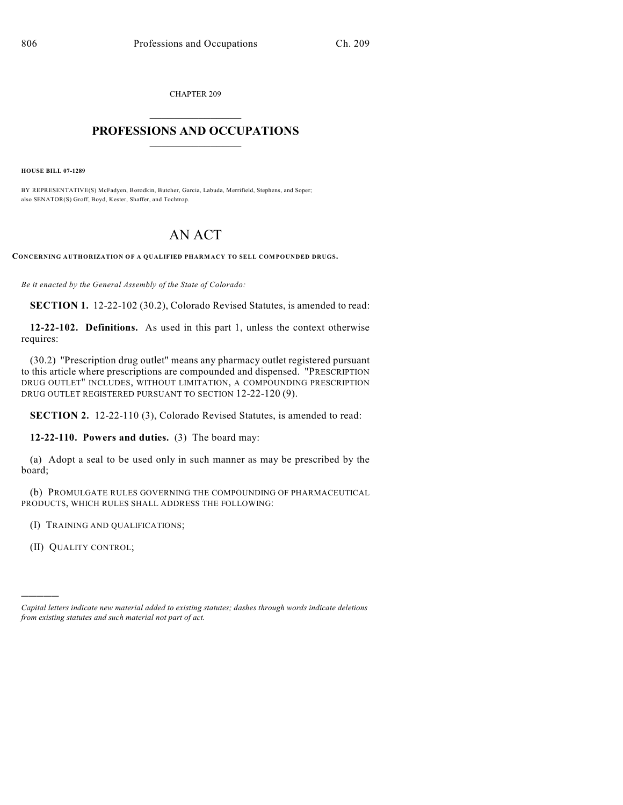CHAPTER 209

## $\overline{\phantom{a}}$  . The set of the set of the set of the set of the set of the set of the set of the set of the set of the set of the set of the set of the set of the set of the set of the set of the set of the set of the set o **PROFESSIONS AND OCCUPATIONS**  $\frac{1}{2}$  ,  $\frac{1}{2}$  ,  $\frac{1}{2}$  ,  $\frac{1}{2}$  ,  $\frac{1}{2}$  ,  $\frac{1}{2}$

**HOUSE BILL 07-1289**

BY REPRESENTATIVE(S) McFadyen, Borodkin, Butcher, Garcia, Labuda, Merrifield, Stephens, and Soper; also SENATOR(S) Groff, Boyd, Kester, Shaffer, and Tochtrop.

## AN ACT

**CONCERNING AUTHORIZATION OF A QUALIFIED PHARMACY TO SELL COMPOUNDED DRUGS.**

*Be it enacted by the General Assembly of the State of Colorado:*

**SECTION 1.** 12-22-102 (30.2), Colorado Revised Statutes, is amended to read:

**12-22-102. Definitions.** As used in this part 1, unless the context otherwise requires:

(30.2) "Prescription drug outlet" means any pharmacy outlet registered pursuant to this article where prescriptions are compounded and dispensed. "PRESCRIPTION DRUG OUTLET" INCLUDES, WITHOUT LIMITATION, A COMPOUNDING PRESCRIPTION DRUG OUTLET REGISTERED PURSUANT TO SECTION 12-22-120 (9).

**SECTION 2.** 12-22-110 (3), Colorado Revised Statutes, is amended to read:

**12-22-110. Powers and duties.** (3) The board may:

(a) Adopt a seal to be used only in such manner as may be prescribed by the board;

(b) PROMULGATE RULES GOVERNING THE COMPOUNDING OF PHARMACEUTICAL PRODUCTS, WHICH RULES SHALL ADDRESS THE FOLLOWING:

(I) TRAINING AND QUALIFICATIONS;

(II) QUALITY CONTROL;

)))))

*Capital letters indicate new material added to existing statutes; dashes through words indicate deletions from existing statutes and such material not part of act.*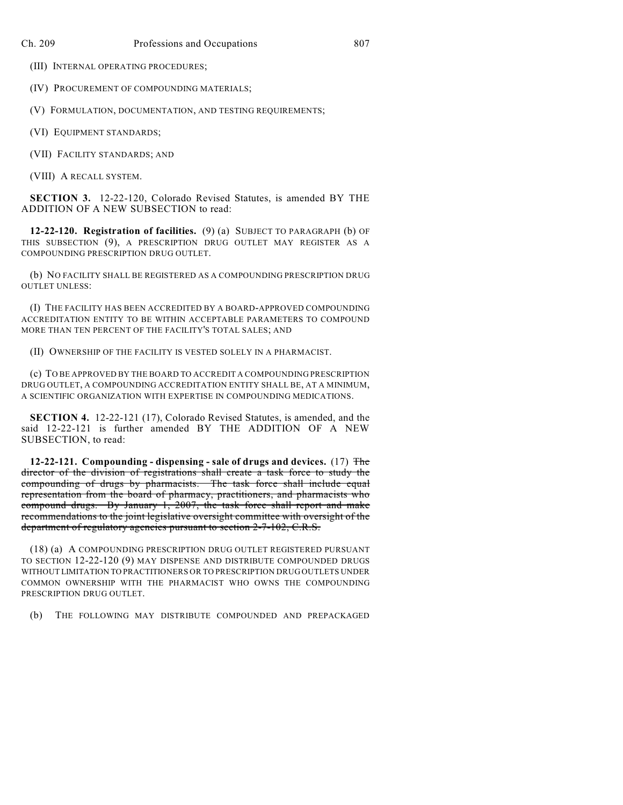(III) INTERNAL OPERATING PROCEDURES;

(IV) PROCUREMENT OF COMPOUNDING MATERIALS;

(V) FORMULATION, DOCUMENTATION, AND TESTING REQUIREMENTS;

(VI) EQUIPMENT STANDARDS;

(VII) FACILITY STANDARDS; AND

(VIII) A RECALL SYSTEM.

**SECTION 3.** 12-22-120, Colorado Revised Statutes, is amended BY THE ADDITION OF A NEW SUBSECTION to read:

**12-22-120. Registration of facilities.** (9) (a) SUBJECT TO PARAGRAPH (b) OF THIS SUBSECTION (9), A PRESCRIPTION DRUG OUTLET MAY REGISTER AS A COMPOUNDING PRESCRIPTION DRUG OUTLET.

(b) NO FACILITY SHALL BE REGISTERED AS A COMPOUNDING PRESCRIPTION DRUG OUTLET UNLESS:

(I) THE FACILITY HAS BEEN ACCREDITED BY A BOARD-APPROVED COMPOUNDING ACCREDITATION ENTITY TO BE WITHIN ACCEPTABLE PARAMETERS TO COMPOUND MORE THAN TEN PERCENT OF THE FACILITY'S TOTAL SALES; AND

(II) OWNERSHIP OF THE FACILITY IS VESTED SOLELY IN A PHARMACIST.

(c) TO BE APPROVED BY THE BOARD TO ACCREDIT A COMPOUNDING PRESCRIPTION DRUG OUTLET, A COMPOUNDING ACCREDITATION ENTITY SHALL BE, AT A MINIMUM, A SCIENTIFIC ORGANIZATION WITH EXPERTISE IN COMPOUNDING MEDICATIONS.

**SECTION 4.** 12-22-121 (17), Colorado Revised Statutes, is amended, and the said 12-22-121 is further amended BY THE ADDITION OF A NEW SUBSECTION, to read:

**12-22-121. Compounding - dispensing - sale of drugs and devices.** (17) The director of the division of registrations shall create a task force to study the compounding of drugs by pharmacists. The task force shall include equal representation from the board of pharmacy, practitioners, and pharmacists who compound drugs. By January 1, 2007, the task force shall report and make recommendations to the joint legislative oversight committee with oversight of the department of regulatory agencies pursuant to section 2-7-102, C.R.S.

(18) (a) A COMPOUNDING PRESCRIPTION DRUG OUTLET REGISTERED PURSUANT TO SECTION 12-22-120 (9) MAY DISPENSE AND DISTRIBUTE COMPOUNDED DRUGS WITHOUT LIMITATION TO PRACTITIONERS OR TO PRESCRIPTION DRUG OUTLETS UNDER COMMON OWNERSHIP WITH THE PHARMACIST WHO OWNS THE COMPOUNDING PRESCRIPTION DRUG OUTLET.

(b) THE FOLLOWING MAY DISTRIBUTE COMPOUNDED AND PREPACKAGED